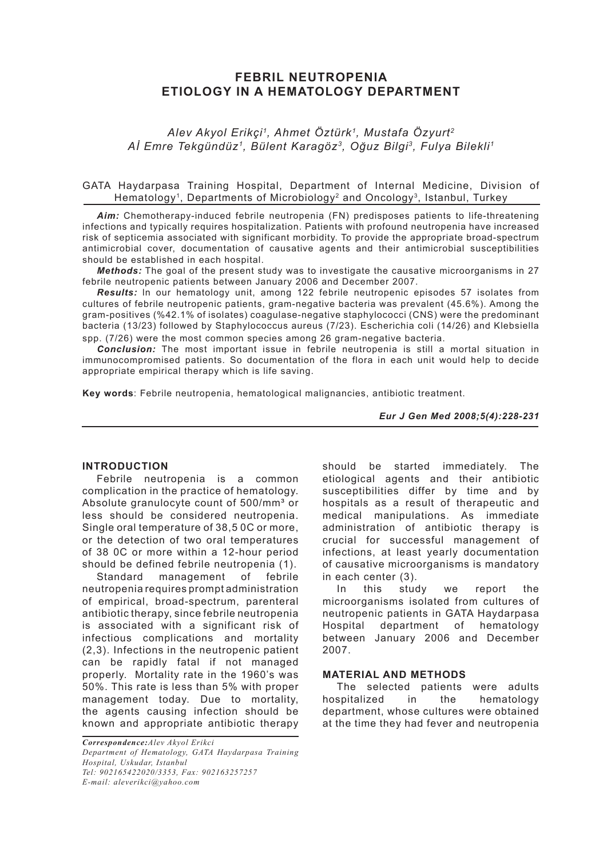# **FEBRIL NEUTROPENIA ETIOLOGY IN A HEMATOLOGY DEPARTMENT**

*Alev Akyol Erikçi1, Ahmet Öztürk1, Mustafa Özyurt2 Aİ Emre Tekgündüz1, Bülent Karagöz3, Oğuz Bilgi3, Fulya Bilekli1*

### GATA Haydarpasa Training Hospital, Department of Internal Medicine, Division of Hematology<sup>1</sup>, Departments of Microbiology<sup>2</sup> and Oncology<sup>3</sup>, Istanbul, Turkey

*Aim:* Chemotherapy-induced febrile neutropenia (FN) predisposes patients to life-threatening infections and typically requires hospitalization. Patients with profound neutropenia have increased risk of septicemia associated with significant morbidity. To provide the appropriate broad-spectrum antimicrobial cover, documentation of causative agents and their antimicrobial susceptibilities should be established in each hospital.

*Methods:* The goal of the present study was to investigate the causative microorganisms in 27 febrile neutropenic patients between January 2006 and December 2007.

*Results:* ln our hematology unit, among 122 febrile neutropenic episodes 57 isolates from cultures of febrile neutropenic patients, gram-negative bacteria was prevalent (45.6%). Among the gram-positives (%42.1% of isolates) coagulase-negative staphylococci (CNS) were the predominant bacteria (13/23) followed by Staphylococcus aureus (7/23). Escherichia coli (14/26) and Klebsiella spp. (7/26) were the most common species among 26 gram-negative bacteria.

*Conclusion:* The most important issue in febrile neutropenia is still a mortal situation in immunocompromised patients. So documentation of the flora in each unit would help to decide appropriate empirical therapy which is life saving.

**Key words**: Febrile neutropenia, hematological malignancies, antibiotic treatment.

*Eur J Gen Med 2008;5(4):228-231*

### **INTRODUCTION**

Febrile neutropenia is a common complication in the practice of hematology. Absolute granulocyte count of 500/mm<sup>3</sup> or less should be considered neutropenia. Single oral temperature of 38,5 0C or more, or the detection of two oral temperatures of 38 0C or more within a 12-hour period should be defined febrile neutropenia (1).

Standard management of febrile neutropenia requires prompt administration of empirical, broad-spectrum, parenteral antibiotic therapy, since febrile neutropenia is associated with a significant risk of infectious complications and mortality (2,3). Infections in the neutropenic patient can be rapidly fatal if not managed properly. Mortality rate in the 1960's was 50%. This rate is less than 5% with proper management today. Due to mortality, the agents causing infection should be known and appropriate antibiotic therapy

*Correspondence:Alev Akyol Erikci Department of Hematology, GATA Haydarpasa Training Hospital, Uskudar, Istanbul Tel: 902165422020/3353, Fax: 902163257257 E-mail: aleverikci@yahoo.com* 

should be started immediately. The etiological agents and their antibiotic susceptibilities differ by time and by hospitals as a result of therapeutic and medical manipulations. As immediate administration of antibiotic therapy is crucial for successful management of infections, at least yearly documentation of causative microorganisms is mandatory in each center (3).

In this study we report the microorganisms isolated from cultures of neutropenic patients in GATA Haydarpasa Hospital department of hematology between January 2006 and December 2007.

## **MATERIAL AND METHODS**

The selected patients were adults hospitalized in the hematology department, whose cultures were obtained at the time they had fever and neutropenia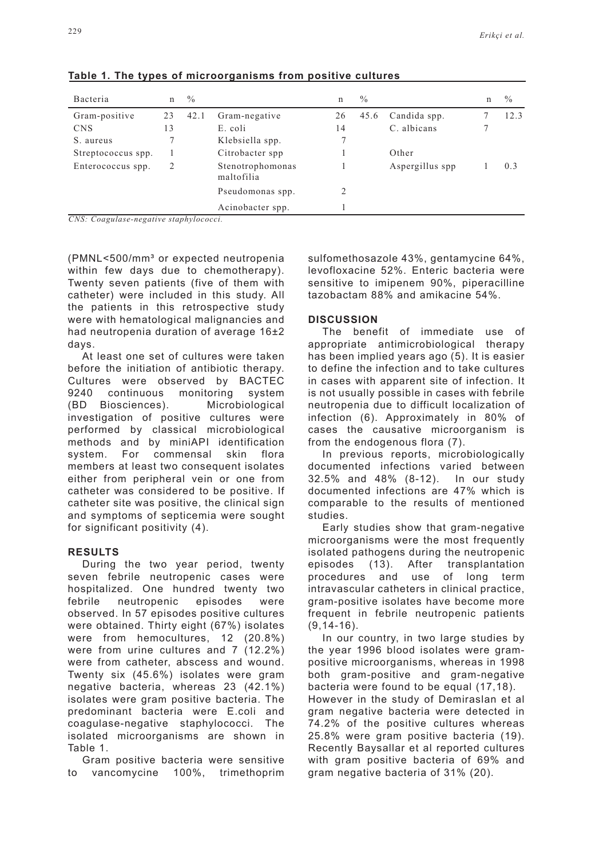| Bacteria                                | n  | $\frac{0}{0}$ |                                | n  | $\frac{0}{0}$ |                 | n | $\frac{0}{0}$ |
|-----------------------------------------|----|---------------|--------------------------------|----|---------------|-----------------|---|---------------|
| Gram-positive                           | 23 | 42.1          | Gram-negative                  | 26 | 45.6          | Candida spp.    |   | 12.3          |
| <b>CNS</b>                              | 13 |               | E. coli                        | 14 |               | C. albicans     |   |               |
| S. aureus                               |    |               | Klebsiella spp.                |    |               |                 |   |               |
| Streptococcus spp.                      |    |               | Citrobacter spp.               |    |               | Other           |   |               |
| Enterococcus spp.                       |    |               | Stenotrophomonas<br>maltofilia |    |               | Aspergillus spp |   | 0.3           |
|                                         |    |               | Pseudomonas spp.               |    |               |                 |   |               |
| $CMS: Coaaulase-negative stanhulaceeci$ |    |               | Acinobacter spp.               |    |               |                 |   |               |

**Table 1. The types of microorganisms from positive cultures**

*CNS: Coagulase-negative staphylococci.* 

(PMNL<500/mm³ or expected neutropenia within few days due to chemotherapy). Twenty seven patients (five of them with catheter) were included in this study. All the patients in this retrospective study were with hematological malignancies and had neutropenia duration of average 16±2 days.

At least one set of cultures were taken before the initiation of antibiotic therapy. Cultures were observed by BACTEC 9240 continuous monitoring system (BD Biosciences). Microbiological investigation of positive cultures were performed by classical microbiological methods and by miniAPI identification system. For commensal skin flora members at least two consequent isolates either from peripheral vein or one from catheter was considered to be positive. If catheter site was positive, the clinical sign and symptoms of septicemia were sought for significant positivity (4).

### **RESULTS**

During the two year period, twenty seven febrile neutropenic cases were hospitalized. One hundred twenty two febrile neutropenic episodes were observed. In 57 episodes positive cultures were obtained. Thirty eight (67%) isolates were from hemocultures, 12 (20.8%) were from urine cultures and 7 (12.2%) were from catheter, abscess and wound. Twenty six (45.6%) isolates were gram negative bacteria, whereas 23 (42.1%) isolates were gram positive bacteria. The predominant bacteria were E.coli and coagulase-negative staphylococci. The isolated microorganisms are shown in Table 1.

Gram positive bacteria were sensitive to vancomycine 100%, trimethoprim sulfomethosazole 43%, gentamycine 64%, levofloxacine 52%. Enteric bacteria were sensitive to imipenem 90%, piperacilline tazobactam 88% and amikacine 54%.

## **DISCUSSION**

The benefit of immediate use of appropriate antimicrobiological therapy has been implied years ago (5). It is easier to define the infection and to take cultures in cases with apparent site of infection. It is not usually possible in cases with febrile neutropenia due to difficult localization of infection (6). Approximately in 80% of cases the causative microorganism is from the endogenous flora (7).

In previous reports, microbiologically documented infections varied between 32.5% and 48% (8-12). In our study documented infections are 47% which is comparable to the results of mentioned studies.

Early studies show that gram-negative microorganisms were the most frequently isolated pathogens during the neutropenic episodes (13). After transplantation procedures and use of long term intravascular catheters in clinical practice, gram-positive isolates have become more frequent in febrile neutropenic patients  $(9, 14-16)$ .

In our country, in two large studies by the year 1996 blood isolates were grampositive microorganisms, whereas in 1998 both gram-positive and gram-negative bacteria were found to be equal (17,18). However in the study of Demiraslan et al gram negative bacteria were detected in 74.2% of the positive cultures whereas 25.8% were gram positive bacteria (19). Recently Baysallar et al reported cultures with gram positive bacteria of 69% and gram negative bacteria of 31% (20).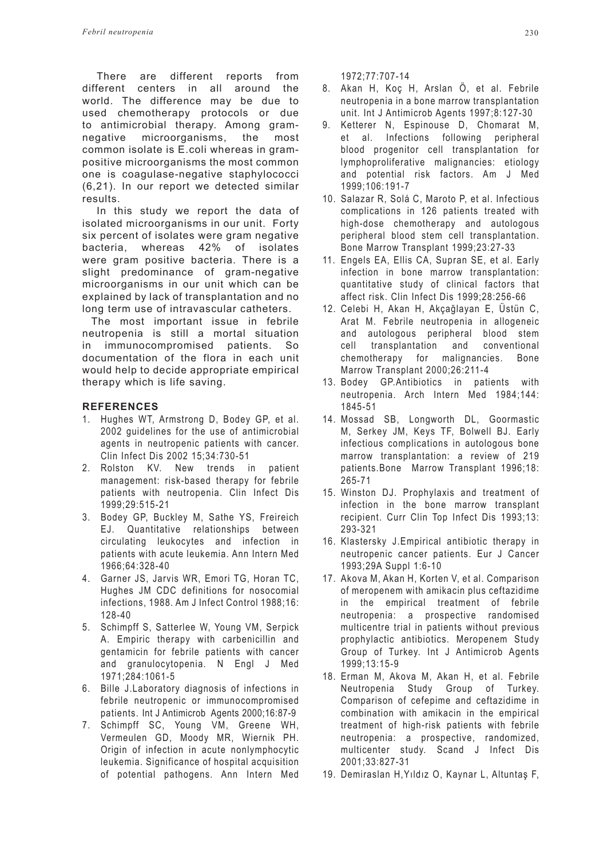There are different reports from different centers in all around the world. The difference may be due to used chemotherapy protocols or due to antimicrobial therapy. Among gramnegative microorganisms, the most common isolate is E.coli whereas in grampositive microorganisms the most common one is coagulase-negative staphylococci (6,21). In our report we detected similar results.

In this study we report the data of isolated microorganisms in our unit. Forty six percent of isolates were gram negative bacteria, whereas 42% of isolates were gram positive bacteria. There is a slight predominance of gram-negative microorganisms in our unit which can be explained by lack of transplantation and no long term use of intravascular catheters.

 The most important issue in febrile neutropenia is still a mortal situation in immunocompromised patients. So documentation of the flora in each unit would help to decide appropriate empirical therapy which is life saving.

## **REFERENCES**

- 1. Hughes WT, Armstrong D, Bodey GP, et al. 2002 guidelines for the use of antimicrobial agents in neutropenic patients with cancer. Clin Infect Dis 2002 15;34:730-51
- 2. Rolston KV. New trends in patient management: risk-based therapy for febrile patients with neutropenia. Clin Infect Dis 1999;29:515-21
- 3. Bodey GP, Buckley M, Sathe YS, Freireich EJ. Quantitative relationships between circulating leukocytes and infection in patients with acute leukemia. Ann Intern Med 1966;64:328-40
- 4. Garner JS, Jarvis WR, Emori TG, Horan TC, Hughes JM CDC definitions for nosocomial infections, 1988. Am J Infect Control 1988;16: 128-40
- 5. Schimpff S, Satterlee W, Young VM, Serpick A. Empiric therapy with carbenicillin and gentamicin for febrile patients with cancer and granulocytopenia. N Engl J Med 1971;284:1061-5
- 6. Bille J.Laboratory diagnosis of infections in febrile neutropenic or immunocompromised patients. Int J Antimicrob Agents 2000;16:87-9
- 7. Schimpff SC, Young VM, Greene WH, Vermeulen GD, Moody MR, Wiernik PH. Origin of infection in acute nonlymphocytic leukemia. Significance of hospital acquisition of potential pathogens. Ann Intern Med

1972;77:707-14

- 8. Akan H, Koç H, Arslan Ö, et al. Febrile neutropenia in a bone marrow transplantation unit. Int J Antimicrob Agents 1997;8:127-30
- 9. Ketterer N, Espinouse D, Chomarat M, et al. Infections following peripheral blood progenitor cell transplantation for lymphoproliferative malignancies: etiology and potential risk factors. Am J Med 1999;106:191-7
- 10. Salazar R, Solá C, Maroto P, et al. Infectious complications in 126 patients treated with high-dose chemotherapy and autologous peripheral blood stem cell transplantation. Bone Marrow Transplant 1999;23:27-33
- 11. Engels EA, Ellis CA, Supran SE, et al. Early infection in bone marrow transplantation: quantitative study of clinical factors that affect risk. Clin Infect Dis 1999;28:256-66
- 12. Celebi H, Akan H, Akçağlayan E, Üstün C, Arat M. Febrile neutropenia in allogeneic and autologous peripheral blood stem cell transplantation and conventional chemotherapy for malignancies. Bone Marrow Transplant 2000;26:211-4
- 13. Bodey GP.Antibiotics in patients with neutropenia. Arch Intern Med 1984;144: 1845-51
- 14. Mossad SB, Longworth DL, Goormastic M, Serkey JM, Keys TF, Bolwell BJ. Early infectious complications in autologous bone marrow transplantation: a review of 219 patients.Bone Marrow Transplant 1996;18: 265-71
- 15. Winston DJ. Prophylaxis and treatment of infection in the bone marrow transplant recipient. Curr Clin Top Infect Dis 1993;13: 293-321
- 16. Klastersky J.Empirical antibiotic therapy in neutropenic cancer patients. Eur J Cancer 1993;29A Suppl 1:6-10
- 17. Akova M, Akan H, Korten V, et al. Comparison of meropenem with amikacin plus ceftazidime in the empirical treatment of febrile neutropenia: a prospective randomised multicentre trial in patients without previous prophylactic antibiotics. Meropenem Study Group of Turkey. Int J Antimicrob Agents 1999;13:15-9
- 18. Erman M, Akova M, Akan H, et al. Febrile Neutropenia Study Group of Turkey. Comparison of cefepime and ceftazidime in combination with amikacin in the empirical treatment of high-risk patients with febrile neutropenia: a prospective, randomized, multicenter study. Scand J Infect Dis 2001;33:827-31
- 19. Demiraslan H,Yıldız O, Kaynar L, Altuntaş F,